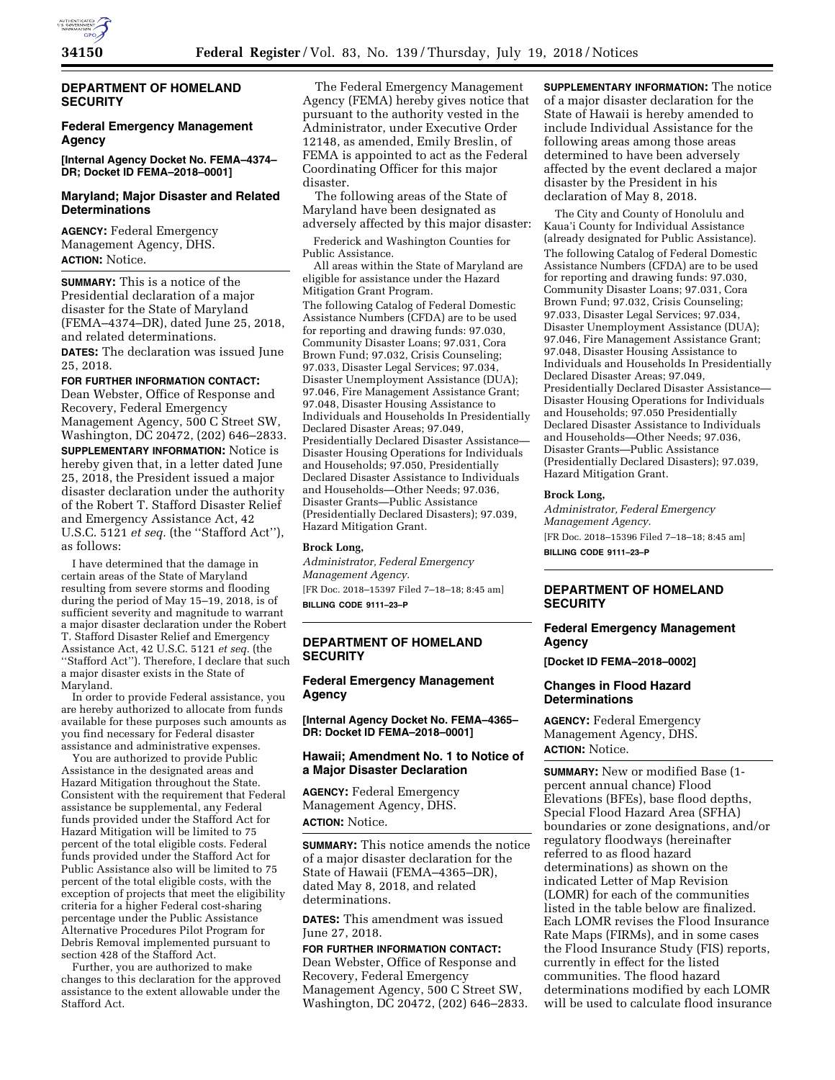

# **DEPARTMENT OF HOMELAND SECURITY**

# **Federal Emergency Management Agency**

**[Internal Agency Docket No. FEMA–4374– DR; Docket ID FEMA–2018–0001]** 

### **Maryland; Major Disaster and Related Determinations**

**AGENCY:** Federal Emergency Management Agency, DHS. **ACTION:** Notice.

**SUMMARY:** This is a notice of the Presidential declaration of a major disaster for the State of Maryland (FEMA–4374–DR), dated June 25, 2018, and related determinations.

**DATES:** The declaration was issued June 25, 2018.

#### **FOR FURTHER INFORMATION CONTACT:**

Dean Webster, Office of Response and Recovery, Federal Emergency Management Agency, 500 C Street SW, Washington, DC 20472, (202) 646–2833. **SUPPLEMENTARY INFORMATION:** Notice is hereby given that, in a letter dated June 25, 2018, the President issued a major disaster declaration under the authority of the Robert T. Stafford Disaster Relief and Emergency Assistance Act, 42 U.S.C. 5121 *et seq.* (the ''Stafford Act''), as follows:

I have determined that the damage in certain areas of the State of Maryland resulting from severe storms and flooding during the period of May 15–19, 2018, is of sufficient severity and magnitude to warrant a major disaster declaration under the Robert T. Stafford Disaster Relief and Emergency Assistance Act, 42 U.S.C. 5121 *et seq.* (the "Stafford Act"). Therefore, I declare that such a major disaster exists in the State of Maryland.

In order to provide Federal assistance, you are hereby authorized to allocate from funds available for these purposes such amounts as you find necessary for Federal disaster assistance and administrative expenses.

You are authorized to provide Public Assistance in the designated areas and Hazard Mitigation throughout the State. Consistent with the requirement that Federal assistance be supplemental, any Federal funds provided under the Stafford Act for Hazard Mitigation will be limited to 75 percent of the total eligible costs. Federal funds provided under the Stafford Act for Public Assistance also will be limited to 75 percent of the total eligible costs, with the exception of projects that meet the eligibility criteria for a higher Federal cost-sharing percentage under the Public Assistance Alternative Procedures Pilot Program for Debris Removal implemented pursuant to section 428 of the Stafford Act.

Further, you are authorized to make changes to this declaration for the approved assistance to the extent allowable under the Stafford Act.

The Federal Emergency Management Agency (FEMA) hereby gives notice that pursuant to the authority vested in the Administrator, under Executive Order 12148, as amended, Emily Breslin, of FEMA is appointed to act as the Federal Coordinating Officer for this major disaster.

The following areas of the State of Maryland have been designated as adversely affected by this major disaster:

Frederick and Washington Counties for Public Assistance.

All areas within the State of Maryland are eligible for assistance under the Hazard Mitigation Grant Program.

The following Catalog of Federal Domestic Assistance Numbers (CFDA) are to be used for reporting and drawing funds: 97.030, Community Disaster Loans; 97.031, Cora Brown Fund; 97.032, Crisis Counseling; 97.033, Disaster Legal Services; 97.034, Disaster Unemployment Assistance (DUA); 97.046, Fire Management Assistance Grant; 97.048, Disaster Housing Assistance to Individuals and Households In Presidentially Declared Disaster Areas; 97.049, Presidentially Declared Disaster Assistance— Disaster Housing Operations for Individuals and Households; 97.050, Presidentially Declared Disaster Assistance to Individuals and Households—Other Needs; 97.036, Disaster Grants—Public Assistance (Presidentially Declared Disasters); 97.039, Hazard Mitigation Grant.

### **Brock Long,**

*Administrator, Federal Emergency Management Agency.*  [FR Doc. 2018–15397 Filed 7–18–18; 8:45 am]

**BILLING CODE 9111–23–P** 

# **DEPARTMENT OF HOMELAND SECURITY**

**Federal Emergency Management Agency** 

### **[Internal Agency Docket No. FEMA–4365– DR: Docket ID FEMA–2018–0001]**

# **Hawaii; Amendment No. 1 to Notice of a Major Disaster Declaration**

**AGENCY:** Federal Emergency Management Agency, DHS. **ACTION:** Notice.

**SUMMARY:** This notice amends the notice of a major disaster declaration for the State of Hawaii (FEMA–4365–DR), dated May 8, 2018, and related determinations.

**DATES:** This amendment was issued June 27, 2018.

**FOR FURTHER INFORMATION CONTACT:**  Dean Webster, Office of Response and Recovery, Federal Emergency Management Agency, 500 C Street SW, Washington, DC 20472, (202) 646–2833. **SUPPLEMENTARY INFORMATION:** The notice of a major disaster declaration for the State of Hawaii is hereby amended to include Individual Assistance for the following areas among those areas determined to have been adversely affected by the event declared a major disaster by the President in his declaration of May 8, 2018.

The City and County of Honolulu and Kaua'i County for Individual Assistance (already designated for Public Assistance). The following Catalog of Federal Domestic Assistance Numbers (CFDA) are to be used for reporting and drawing funds: 97.030, Community Disaster Loans; 97.031, Cora Brown Fund; 97.032, Crisis Counseling; 97.033, Disaster Legal Services; 97.034, Disaster Unemployment Assistance (DUA); 97.046, Fire Management Assistance Grant; 97.048, Disaster Housing Assistance to Individuals and Households In Presidentially Declared Disaster Areas; 97.049, Presidentially Declared Disaster Assistance— Disaster Housing Operations for Individuals and Households; 97.050 Presidentially Declared Disaster Assistance to Individuals and Households—Other Needs; 97.036, Disaster Grants—Public Assistance (Presidentially Declared Disasters); 97.039, Hazard Mitigation Grant.

#### **Brock Long,**

*Administrator, Federal Emergency Management Agency.*  [FR Doc. 2018–15396 Filed 7–18–18; 8:45 am] **BILLING CODE 9111–23–P** 

# **DEPARTMENT OF HOMELAND SECURITY**

# **Federal Emergency Management Agency**

**[Docket ID FEMA–2018–0002]** 

#### **Changes in Flood Hazard Determinations**

**AGENCY:** Federal Emergency Management Agency, DHS. **ACTION:** Notice.

**SUMMARY:** New or modified Base (1 percent annual chance) Flood Elevations (BFEs), base flood depths, Special Flood Hazard Area (SFHA) boundaries or zone designations, and/or regulatory floodways (hereinafter referred to as flood hazard determinations) as shown on the indicated Letter of Map Revision (LOMR) for each of the communities listed in the table below are finalized. Each LOMR revises the Flood Insurance Rate Maps (FIRMs), and in some cases the Flood Insurance Study (FIS) reports, currently in effect for the listed communities. The flood hazard determinations modified by each LOMR will be used to calculate flood insurance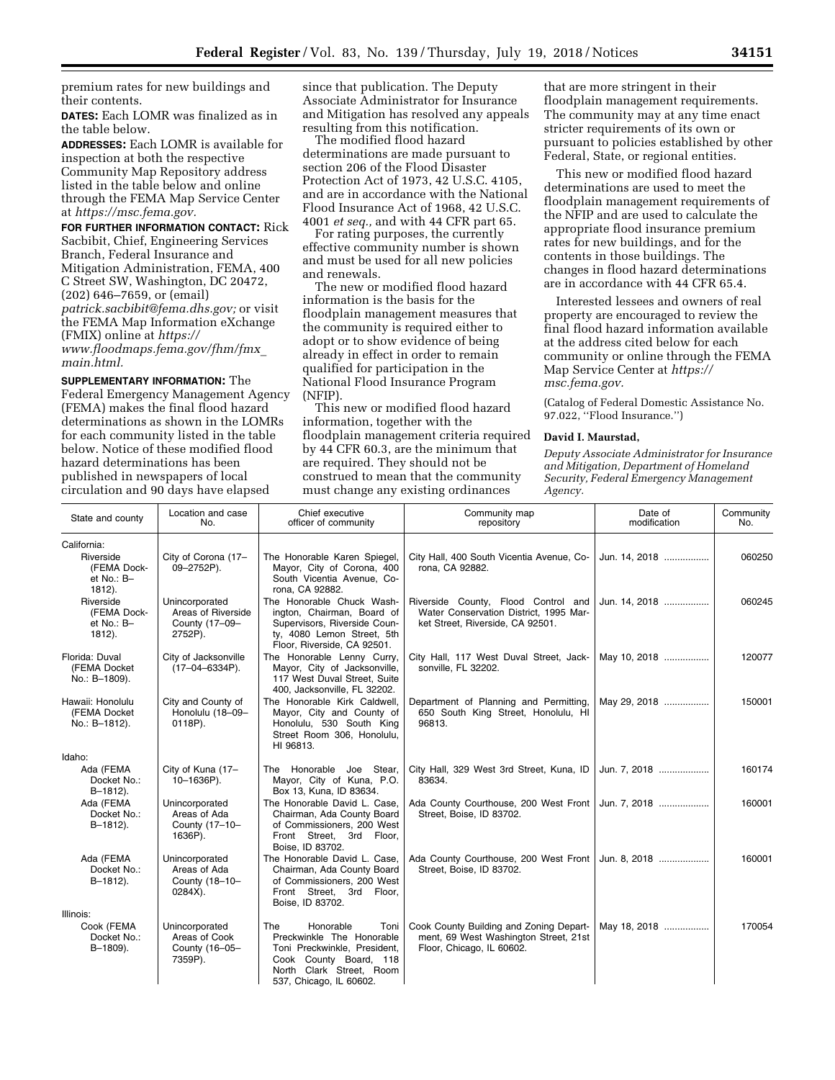premium rates for new buildings and their contents.

**DATES:** Each LOMR was finalized as in the table below.

**ADDRESSES:** Each LOMR is available for inspection at both the respective Community Map Repository address listed in the table below and online through the FEMA Map Service Center at *[https://msc.fema.gov.](https://msc.fema.gov)* 

**FOR FURTHER INFORMATION CONTACT:** Rick Sacbibit, Chief, Engineering Services Branch, Federal Insurance and Mitigation Administration, FEMA, 400 C Street SW, Washington, DC 20472, (202) 646–7659, or (email) *[patrick.sacbibit@fema.dhs.gov;](mailto:patrick.sacbibit@fema.dhs.gov)* or visit the FEMA Map Information eXchange (FMIX) online at *[https://](https://www.floodmaps.fema.gov/fhm/fmx_main.html) [www.floodmaps.fema.gov/fhm/fmx](https://www.floodmaps.fema.gov/fhm/fmx_main.html)*\_ *[main.html.](https://www.floodmaps.fema.gov/fhm/fmx_main.html)* 

**SUPPLEMENTARY INFORMATION:** The Federal Emergency Management Agency (FEMA) makes the final flood hazard determinations as shown in the LOMRs for each community listed in the table below. Notice of these modified flood hazard determinations has been published in newspapers of local circulation and 90 days have elapsed

since that publication. The Deputy Associate Administrator for Insurance and Mitigation has resolved any appeals resulting from this notification.

The modified flood hazard determinations are made pursuant to section 206 of the Flood Disaster Protection Act of 1973, 42 U.S.C. 4105, and are in accordance with the National Flood Insurance Act of 1968, 42 U.S.C. 4001 *et seq.,* and with 44 CFR part 65.

For rating purposes, the currently effective community number is shown and must be used for all new policies and renewals.

The new or modified flood hazard information is the basis for the floodplain management measures that the community is required either to adopt or to show evidence of being already in effect in order to remain qualified for participation in the National Flood Insurance Program (NFIP).

This new or modified flood hazard information, together with the floodplain management criteria required by 44 CFR 60.3, are the minimum that are required. They should not be construed to mean that the community must change any existing ordinances

that are more stringent in their floodplain management requirements. The community may at any time enact stricter requirements of its own or pursuant to policies established by other Federal, State, or regional entities.

This new or modified flood hazard determinations are used to meet the floodplain management requirements of the NFIP and are used to calculate the appropriate flood insurance premium rates for new buildings, and for the contents in those buildings. The changes in flood hazard determinations are in accordance with 44 CFR 65.4.

Interested lessees and owners of real property are encouraged to review the final flood hazard information available at the address cited below for each community or online through the FEMA Map Service Center at *[https://](https://msc.fema.gov) [msc.fema.gov.](https://msc.fema.gov)* 

(Catalog of Federal Domestic Assistance No. 97.022, ''Flood Insurance.'')

#### **David I. Maurstad,**

*Deputy Associate Administrator for Insurance and Mitigation, Department of Homeland Security, Federal Emergency Management Agency.* 

| State and county                                    | Location and case<br>No.                                          | Chief executive<br>officer of community                                                                                                                                | Community map<br>repository                                                                                       | Date of<br>modification | Community<br>No. |
|-----------------------------------------------------|-------------------------------------------------------------------|------------------------------------------------------------------------------------------------------------------------------------------------------------------------|-------------------------------------------------------------------------------------------------------------------|-------------------------|------------------|
| California:                                         |                                                                   |                                                                                                                                                                        |                                                                                                                   |                         |                  |
| Riverside<br>(FEMA Dock-<br>et No.: B-<br>1812).    | City of Corona (17-<br>09-2752P).                                 | The Honorable Karen Spiegel,<br>Mayor, City of Corona, 400<br>South Vicentia Avenue, Co-<br>rona, CA 92882.                                                            | City Hall, 400 South Vicentia Avenue, Co-<br>rona, CA 92882.                                                      | Jun. 14, 2018           | 060250           |
| Riverside<br>(FEMA Dock-<br>et No.: B-<br>$1812$ ). | Unincorporated<br>Areas of Riverside<br>County (17-09-<br>2752P). | The Honorable Chuck Wash-<br>ington, Chairman, Board of<br>Supervisors, Riverside Coun-<br>ty, 4080 Lemon Street, 5th<br>Floor, Riverside, CA 92501.                   | Riverside County, Flood Control and<br>Water Conservation District, 1995 Mar-<br>ket Street, Riverside, CA 92501. | Jun. 14, 2018           | 060245           |
| Florida: Duval<br>(FEMA Docket<br>No.: B-1809).     | City of Jacksonville<br>$(17-04-6334P)$ .                         | The Honorable Lenny Curry,<br>Mayor, City of Jacksonville,<br>117 West Duval Street, Suite<br>400, Jacksonville, FL 32202.                                             | City Hall, 117 West Duval Street, Jack-<br>sonville, FL 32202.                                                    | May 10, 2018            | 120077           |
| Hawaii: Honolulu<br>(FEMA Docket<br>No.: B-1812).   | City and County of<br>Honolulu (18-09-<br>0118P).                 | The Honorable Kirk Caldwell.<br>Mayor, City and County of<br>Honolulu, 530 South King<br>Street Room 306, Honolulu,<br>HI 96813.                                       | Department of Planning and Permitting,<br>650 South King Street, Honolulu, HI<br>96813.                           | May 29, 2018            | 150001           |
| Idaho:                                              |                                                                   |                                                                                                                                                                        |                                                                                                                   |                         |                  |
| Ada (FEMA<br>Docket No.:<br>$B - 1812$ ).           | City of Kuna (17-<br>10-1636P).                                   | The Honorable Joe Stear,<br>Mayor, City of Kuna, P.O.<br>Box 13, Kuna, ID 83634.                                                                                       | City Hall, 329 West 3rd Street, Kuna, ID<br>83634.                                                                | Jun. 7. 2018            | 160174           |
| Ada (FEMA<br>Docket No.:<br>$B-1812$ ).             | Unincorporated<br>Areas of Ada<br>County (17-10-<br>1636P).       | The Honorable David L. Case,<br>Chairman, Ada County Board<br>of Commissioners, 200 West<br>Front Street, 3rd Floor,<br>Boise, ID 83702.                               | Ada County Courthouse, 200 West Front<br>Street, Boise, ID 83702.                                                 | Jun. 7, 2018            | 160001           |
| Ada (FEMA<br>Docket No.:<br>B-1812).                | Unincorporated<br>Areas of Ada<br>County (18-10-<br>$0284X$ ).    | The Honorable David L. Case,<br>Chairman, Ada County Board<br>of Commissioners, 200 West<br>Front Street, 3rd Floor,<br>Boise, ID 83702.                               | Ada County Courthouse, 200 West Front   Jun. 8, 2018<br>Street, Boise, ID 83702.                                  |                         | 160001           |
| Illinois:                                           |                                                                   |                                                                                                                                                                        |                                                                                                                   |                         |                  |
| Cook (FEMA<br>Docket No.:<br>B-1809).               | Unincorporated<br>Areas of Cook<br>County (16-05-<br>7359P).      | The<br>Honorable<br>Toni<br>Preckwinkle The Honorable<br>Toni Preckwinkle, President,<br>Cook County Board, 118<br>North Clark Street, Room<br>537, Chicago, IL 60602. | Cook County Building and Zoning Depart-<br>ment, 69 West Washington Street, 21st<br>Floor, Chicago, IL 60602.     | May 18, 2018            | 170054           |